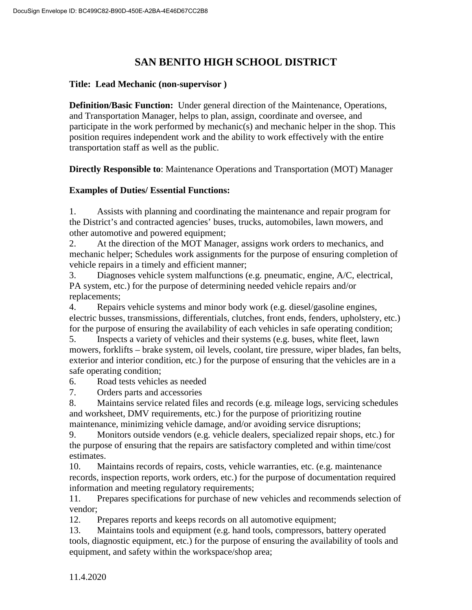# **SAN BENITO HIGH SCHOOL DISTRICT**

#### **Title: Lead Mechanic (non-supervisor )**

**Definition/Basic Function:** Under general direction of the Maintenance, Operations, and Transportation Manager, helps to plan, assign, coordinate and oversee, and participate in the work performed by mechanic(s) and mechanic helper in the shop. This position requires independent work and the ability to work effectively with the entire transportation staff as well as the public.

**Directly Responsible to**: Maintenance Operations and Transportation (MOT) Manager

#### **Examples of Duties/ Essential Functions:**

1. Assists with planning and coordinating the maintenance and repair program for the District's and contracted agencies' buses, trucks, automobiles, lawn mowers, and other automotive and powered equipment;

2. At the direction of the MOT Manager, assigns work orders to mechanics, and mechanic helper; Schedules work assignments for the purpose of ensuring completion of vehicle repairs in a timely and efficient manner;

3. Diagnoses vehicle system malfunctions (e.g. pneumatic, engine, A/C, electrical, PA system, etc.) for the purpose of determining needed vehicle repairs and/or replacements;

4. Repairs vehicle systems and minor body work (e.g. diesel/gasoline engines, electric busses, transmissions, differentials, clutches, front ends, fenders, upholstery, etc.) for the purpose of ensuring the availability of each vehicles in safe operating condition;

5. Inspects a variety of vehicles and their systems (e.g. buses, white fleet, lawn mowers, forklifts – brake system, oil levels, coolant, tire pressure, wiper blades, fan belts, exterior and interior condition, etc.) for the purpose of ensuring that the vehicles are in a safe operating condition;

6. Road tests vehicles as needed

7. Orders parts and accessories

8. Maintains service related files and records (e.g. mileage logs, servicing schedules and worksheet, DMV requirements, etc.) for the purpose of prioritizing routine maintenance, minimizing vehicle damage, and/or avoiding service disruptions;

9. Monitors outside vendors (e.g. vehicle dealers, specialized repair shops, etc.) for the purpose of ensuring that the repairs are satisfactory completed and within time/cost estimates.

10. Maintains records of repairs, costs, vehicle warranties, etc. (e.g. maintenance records, inspection reports, work orders, etc.) for the purpose of documentation required information and meeting regulatory requirements;

11. Prepares specifications for purchase of new vehicles and recommends selection of vendor;

12. Prepares reports and keeps records on all automotive equipment;

13. Maintains tools and equipment (e.g. hand tools, compressors, battery operated tools, diagnostic equipment, etc.) for the purpose of ensuring the availability of tools and equipment, and safety within the workspace/shop area;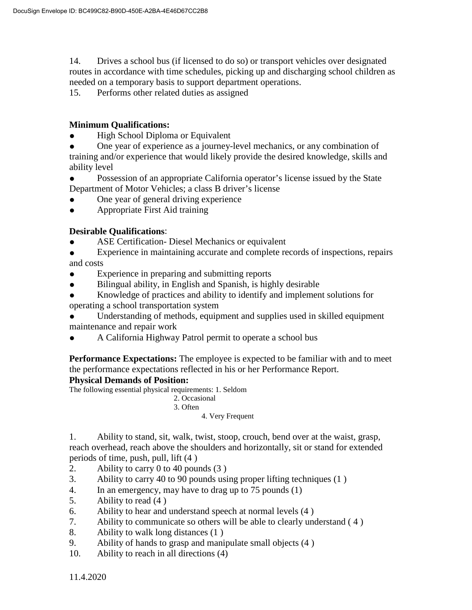14. Drives a school bus (if licensed to do so) or transport vehicles over designated routes in accordance with time schedules, picking up and discharging school children as needed on a temporary basis to support department operations.

15. Performs other related duties as assigned

### **Minimum Qualifications:**

**High School Diploma or Equivalent** 

One year of experience as a journey-level mechanics, or any combination of training and/or experience that would likely provide the desired knowledge, skills and ability level

- Possession of an appropriate California operator's license issued by the State Department of Motor Vehicles; a class B driver's license
- One year of general driving experience
- Appropriate First Aid training

### **Desirable Qualifications**:

ASE Certification- Diesel Mechanics or equivalent

● Experience in maintaining accurate and complete records of inspections, repairs and costs

- Experience in preparing and submitting reports
- Bilingual ability, in English and Spanish, is highly desirable
- Knowledge of practices and ability to identify and implement solutions for operating a school transportation system

Understanding of methods, equipment and supplies used in skilled equipment maintenance and repair work

A California Highway Patrol permit to operate a school bus

**Performance Expectations:** The employee is expected to be familiar with and to meet the performance expectations reflected in his or her Performance Report.

#### **Physical Demands of Position:**

The following essential physical requirements: 1. Seldom

 2. Occasional 3. Often

4. Very Frequent

1. Ability to stand, sit, walk, twist, stoop, crouch, bend over at the waist, grasp, reach overhead, reach above the shoulders and horizontally, sit or stand for extended periods of time, push, pull, lift (4 )

- 2. Ability to carry 0 to 40 pounds (3 )
- 3. Ability to carry 40 to 90 pounds using proper lifting techniques (1 )
- 4. In an emergency, may have to drag up to 75 pounds (1)
- 5. Ability to read (4 )
- 6. Ability to hear and understand speech at normal levels (4 )
- 7. Ability to communicate so others will be able to clearly understand ( 4 )
- 8. Ability to walk long distances (1 )
- 9. Ability of hands to grasp and manipulate small objects (4 )
- 10. Ability to reach in all directions (4)

11.4.2020